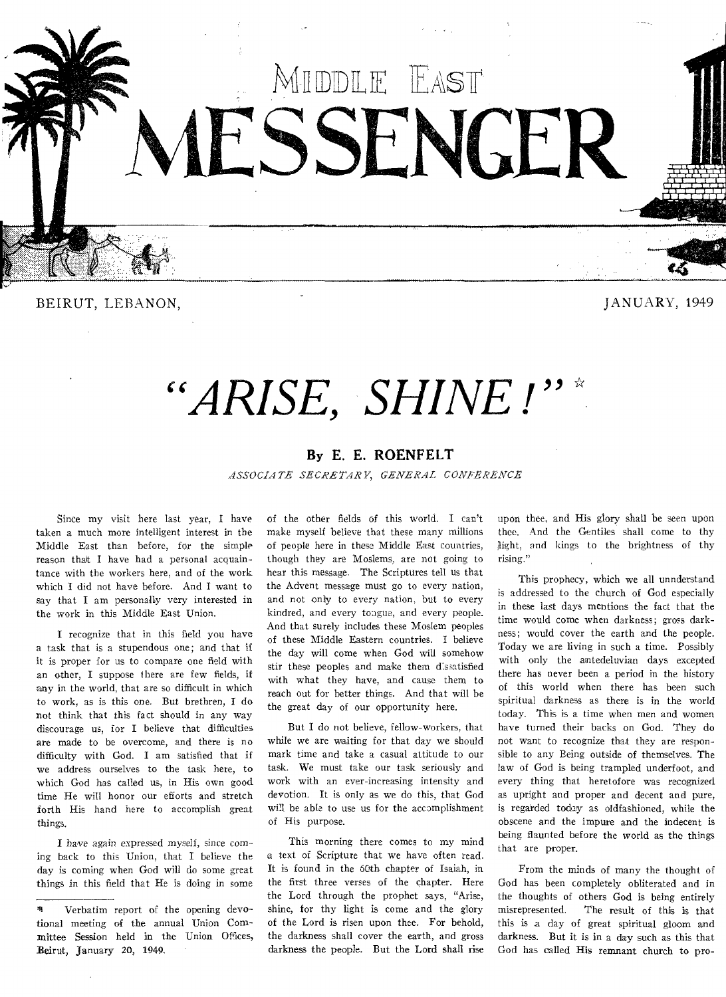

BEIRUT, LEBANON, JANUARY, 1949

# *"ARISE, SHINE !"\**

### **By E. E. ROENFELT**

*ASSOCIATE SECRETARY, GENERAL CONFERENCE* 

Since my visit here last year, I have taken a much more intelligent interest in the Middle East than before, for the simple reason that I have had a personal acquaintance with the workers here, and of the work which I did not have before. And I want to say that I am personally very interested in the work in this Middle East Union.

I recognize that in this field you have a task that is a stupendous one; and that if it is proper for us to compare one field with an other, I suppose there are few fields, if any in the world, that are so difficult in which to work, as is this one. But brethren, I do not think that this fact should in any way discourage us, for I believe that difficulties are made to be overcome, and there is no difficulty with God. I am satisfied that if we address ourselves to the task here, to which God has called us, in His own good time He will honor our efforts and stretch forth His hand here to accomplish great things.

I have again expressed myself, *since coming* back to this Union, that I believe the day is coming when God will do some great things in this field that He is doing in some of the other fields of this world. I can't make myself believe that these many millions of people here in these Middle East countries, though they are Moslems, are not going to hear this message. The Scriptures tell us that the Advent message must go to every nation, and not only to every nation, but to every kindred, and every tongue, and every people. And that surely includes these Moslem peoples of these Middle Eastern countries. I believe the day will come when God will somehow stir these peoples and make them dissatisfied with what they have, and cause them to reach out for better things. And that will be the great day of our opportunity here.

But I do not believe, fellow-workers, that while we are waiting for that day we should mark time and take a casual attitude to our task. We must take our task seriously and work with an ever-increasing intensity and devotion. It is only as we do this, that God will be able to use us for the accomplishment of His purpose.

This morning there comes to my mind a text of Scripture that we have often read. It is found in the 60th chapter of Isaiah, in the first three verses of the chapter. Here the Lord through the prophet says, "Arise, shine, for thy light is come and the glory of the Lord is risen upon thee. For behold, the darkness shall cover the earth, and gross darkness the people. But the Lord shall rise

upon thee, and His glory shall be seen upon thee. And the Gentiles shall come to thy Might, and kings to the brightness of thy rising."

This prophecy, which we all unnderstand is addressed to the church of God especially in these last days mentions the fact that the time would come when darkness; gross darkness; would cover the earth and the people. Today we are living in such a time. Possibly with only the antedeluvian days excepted there has never been a period in the history of this world when there has been such spiritual darkness as there is in the world today. This is a time when men and women have turned their backs on God. They do not want to recognize that they are responsible to any Being outside of themselves. The law of God is being trampled underfoot, and every thing that heretofore was recognized as upright and proper and decent and pure, is regarded today as oldfashioned, while the obscene and the impure and the indecent is being flaunted before the world as the things that are proper.

From the minds of many the thought of God has been completely obliterated and in the thoughts of others God is being entirely misrepresented. The result of this is that this is a day of great spiritual gloom and darkness. But it is in a day such as this that God has called His remnant church to pro-

<sup>41</sup> Verbatim report of the opening devotional meeting of the annual Union Committee Session held in the Union Offices, Beirut, January 20, 1949.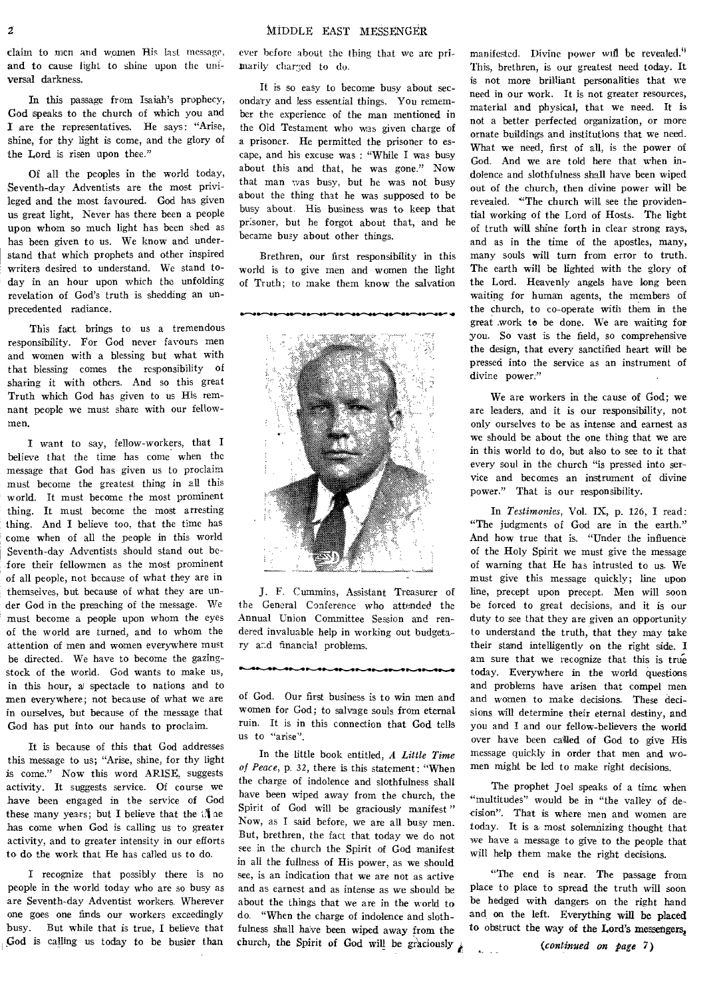claim to men and women His last message, and to cause light to shine upon the universal darkness.

In this passage from Isaiah's prophecy, God speaks to the church of which you and I are the representatives. He says: "Arise, shine, for thy light is come, and the glory of the Lord is risen upon thee."

Of all the peoples in the world today, Seventh-day Adventists are the most privileged and the most favoured. God has given us great light, Never has there been a people upon whom so much light has been shed as has been given to us. We know and understand that which prophets and other inspired writers desired to understand. We stand today in an hour upon which the unfolding revelation of God's truth is shedding an unprecedented radiance.

This fact brings to us a tremendous responsibility. For God never favours men and women with a blessing but what with that blessing comes the responsibility of sharing it with others. And so this great Truth which God has given to us His remnant people we must share with our fellowmen.

I want to say, fellow-workers, that I believe that the time has come when the message that God has given us to proclaim must become the greatest thing in all this world. It must become the most prominent thing. It must become the most arresting thing. And I believe too, that the time has come when of all the people in this world Seventh-day Adventists should stand out before their fellowmen as the most prominent of all people, not because of what they are in themselves, but because of what they are under God in the preaching of the message. We must become a people upon whom the eyes of the world are turned, and to whom the attention of men and women everywhere must be directed. We have to become the gazingstock of the world. God wants to make us, in this hour, a/ spectacle to nations and to men everywhere; not because of what we are in ourselves, but because of the message that God has put into our hands to proclaim.

It is because of this that God addresses this message to us; "Arise, shine, for thy light is come." Now this word ARISE, suggests activity. It suggests service. Of course we have been engaged in the service of God these many years; but I believe that the  $\mathbb{N}$  ae has come when God is calling us to greater activity, and to greater intensity in our efforts to do the work that He has called us to do.

I recognize that possibly there is no people in the world today who are so busy as are Seventh-day Adventist workers. Wherever one goes one finds our workers exceedingly busy. But while that is true, I believe that God is calling us today to be busier than

ever before about the thing that we are primarily charged to do.

It is so easy to become busy about secondairy and less essential things. You remember the experience of the man mentioned in the Old Testament who was given charge of a prisoner. He permitted the prisoner to escape, and his excuse was : "While I was busy about this and that, he was gone." Now that man was busy, but he was not busy about the thing that he was supposed to be busy about. His business was to keep that prisoner, but he forgot about that, and he became busy about other things.

Brethren, our first responsibility in this world is to give men and women the light of Truth; to make them know the salvation



J. F. Cummins, Assistant Treasurer of the General Conference who attended the Annual Union Committee Session and rendered invaluable help in working out budgetary and financial problems.

of God. Our first business is to win men and women for God; to salvage souls from eternal ruin. It is in this connection that God tells us to 'arise".

In the little book entitled, *A Little Time of Peace,* p. 32, there is this statement: "When the charge of indolence and slothfulness shall have been wiped away from the church, the Spirit of God will be graciously manifest" Now, as I said before, we are all busy men. But, brethren, the fact that today we do not see in the church the Spirit of God manifest in ali the fullness of His power, as we should see, is an indication that we are not as active and as earnest and as intense as we should be about the things that we are in the world to do. "When the charge of indolence and slothfulness shall have been wiped away from the church, the Spirit of God will be graciously

manifested. Divine power will be revealed.<sup>33</sup> This, brethren, is our greatest need today. It is not more brilliant personalities that we need in our work. It is not greater resources, material and physical, that we need. It is not a better perfected organization, or more ornate buildings and institutions that we need. What we need, first of all, is the power of God. And we are told here that when indolence and slothfulness shall have been wiped out of the church, then divine power will be revealed. "The church will see the providential working of the Lord of Hosts. The light of truth will shine forth in clear strong rays, and as in the time of the apostles, many, many souls will turn from error to truth. The earth will be lighted with the glory of the Lord. Heavenly angels have long been waiting for human agents, the members of the church, to co-operate with them in the great work to be done. We are waiting for you. So vast is the field, so comprehensive the design, that every sanctified heart will be pressed into the service as an instrument of divine power."

We are workers in the cause of God; we are leaders, and it is our responsibility, not only ourselves to be as intense and earnest as we should be about the one thing that we are in this world to do, but also to see to it that every soul in the church "is pressed into service and becomes an instrument of divine power." That is our responsibility.

In *Testimonies,* Vol. IX, p. 126, I read: "The judgments of God are in the earth." And how true that is. "Under the influence of the Holy Spirit we must give the message of warning that He has intrusted to us. We must give this message quickly; line upon line, precept upon precept. Men will soon be forced to great decisions, and it is our duty to see that they are given an opportunity to understand the truth, that they may take their stand intelligently on the right side. I am sure that we recognize that this is true today. Everywhere in the world questions and problems have arisen that compel men and women to make decisions. These decisions will determine their eternal destiny, and you and I and our fellow-believers the world over have been called of God to give His message quickly in order that men and women might be led to make right decisions.

The prophet Joel speaks of a time when "multitudes" would be in "the valley of decision". That is where men and women are today. It is a most solemnizing thought that we have a message to give to the people that will help them make the right decisions.

"The end is near. The passage from place to place to spread the truth will soon be hedged with dangers on the right hand and on the left. Everything will be placed to obstruct the way of the Lord's messengers,

*(continued on page 7)* 

 $\mathbf{A}$  and  $\mathbf{A}$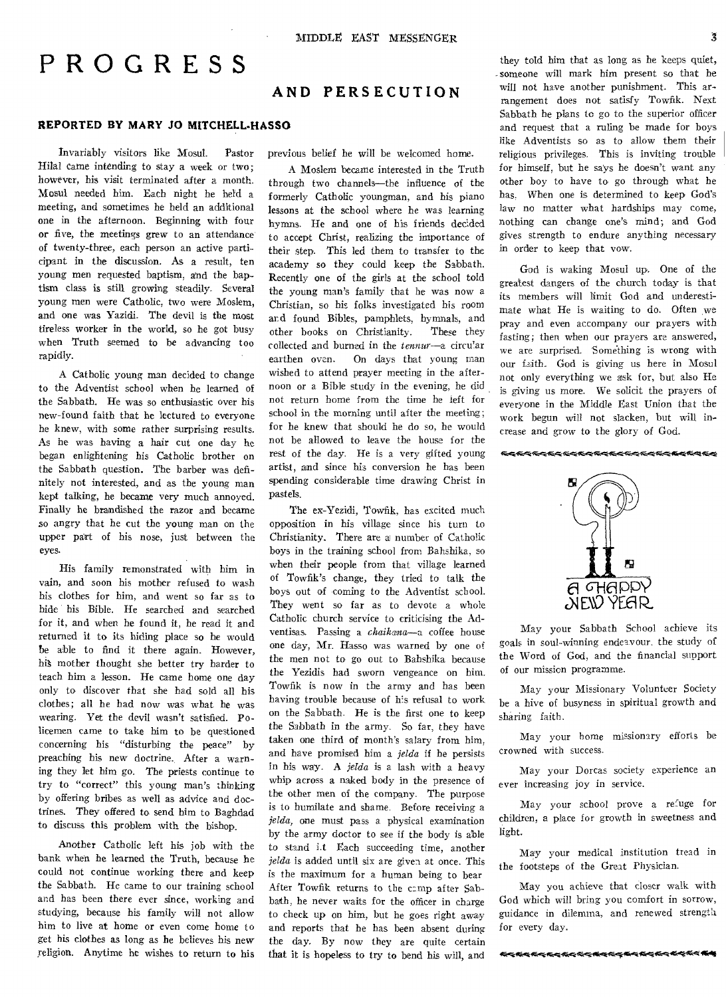# PROGRESS

### **AND PERSECUTION**

#### **REPORTED BY MARY JO MITCHELL-HASSO**

Invariably visitors like Mosul. Pastor Hilal came intending to stay a week or two; however, his visit terminated after a month. Mosul needed him. Each night he held a meeting, and sometimes he held an additional one in the afternoon. Beginning with four or five, the meetings grew to an attendance of twenty-three, each person an active participant in the discussion. As a result, ten young men requested baptism, and the baptism class is still growing steadily. Several young men were Catholic, two were Moslem, and one was Yazidi. The devil is the most tireless worker in the world, so he got busy when Truth seemed to be advancing too rapidly.

A Catholic young man decided to change to the Adventist school when he learned of the Sabbath. He was so enthusiastic over his new-found faith that he lectured to everyone he knew, with some rather surprising results. As he was having a hair cut one day he began enlightening his Catholic brother on the Sabbath question. The barber was definitely not interested, and as the young man kept talking, he became very much annoyed. Finally he brandished the razor and became so angry that he cut the young man on the upper part of his nose, just between the eyes.

His family remonstrated with him in vain, and soon his mother refused to wash his clothes for him, and went so far as to hide his Bible. He searched and searched for it, and when he found it, he read it and returned it to its hiding place so he would be able to find it there again. However, hi§ mother thought she better try harder to teach him a lesson. He came home one day only to discover that she had sold all his clothes; all he had now was what he was wearing. Yet the devil wasn't satisfied. Policemen came to take him to be questioned concerning his "disturbing the peace" by preaching his new doctrine. After a warning they let him go. The priests continue to try to "correct" this young man's thinking by offering bribes as well as advice and doctrines. They offered to send him to Baghdad to discuss this problem with the bishop.

Another Catholic left his job with the bank when he learned the Truth, because he could not continue working there and keep the Sabbath. He came to our training school and has been there ever since, working and studying, because his family will not allow him to live at home or even come home to get his clothes as long as he believes his new religion. Anytime he wishes to return to his previous belief he will be welcomed home.

A Moslem became interested in the Truth through two channels—the influence of the formerly Catholic youngman, and his piano lessons at the school where he was learning hymns. He and one of his friends decided to accept Christ, realizing the importance of their step. This led them to transfer to the academy so they could keep the Sabbath. Recently one of the girls at the school told the young man's family that he was now a Christian, so his folks investigated his room ard found Bibles, pamphlets, hymnals, and other books on Christianity. These they collected and burned in the *tennur—a* circu'ar earthen oven. On days that young man wished to attend prayer meeting in the afternoon or a Bible study in the evening, he did not return home from the time he left for school in the morning until after the meeting; for he knew that should he do so, he would not be allowed to leave the house for the rest of the day. He is a very gifted young artist, and since his conversion he has been spending considerable time drawing Christ in pastels.

The ex-Yezidi, Towfik, has excited much opposition in his village since his turn to Christianity. There are a number of Catholic boys in the training school from Bahshika, so when their people from that village learned of Towfik's change, they tried to talk the boys out of coming to the Adventist school. They went so far as to devote a whole Catholic church service to criticising the Adventisas. Passing a *chaikana—a* coffee house one day, Mr. Hasso was warned by one of the men not to go out to Bahshika because the Yezidis had sworn vengeance on him. Towfik is now in the army and has been having trouble because of his refusal to work on the Sabbath. He is the first one to keep the Sabbath in the army. So far, they have taken one third of month's salary from him, and have promised him a *jelda* if he persists in his way. A *jelda* is a lash with a heavy whip across a naked body in the presence of the other men of the company. The purpose is to humilate and shame. Before receiving a *jelda,* one must pass a physical examination by the army doctor to see if the body is able to stand i.t Each succeeding time, another *jelda* is added until six are given at once. This is the maximum for a human being to bear After Towfik returns to the camp after Sabbath, he never waits for the officer in charge to check up on him, but he goes right away and reports that he has been absent during the day. By now they are quite certain that it is hopeless to try to bend his will, and

they told him that as long as he keeps quiet, -someone will mark him present so that he will not have another punishment. This arrangement does not satisfy Towfik. Next Sabbath he plans to go to the superior officer and request that a ruling be made for boys like Adventists so as to allow them their religious privileges. This is inviting trouble for himself, but he says he doesn't want any other boy to have to go through what he has. When one is determined to keep God's law no matter what hardships may come, nothing can change one's mind; and God gives strength to endure anything necessary in order to keep that vow.

God is waking Mosul up. One of the greatest dangers of the church today is that its members will limit God and underestimate what He is waiting to do. Often we pray and even accompany our prayers with fasting; then when our prayers are answered, we are surprised. 'Something is wrong with our faith. God is giving us here in Mosul not only everything we ask for, but also He is giving us more. We solicit the prayers of everyone in the Middle East Union that the work begun will not slacken, but will increase and grow to the glory of God.

#### **€<€<≤€<€€€€€€€€€€€€€€€€€€€€€€€€€**



May your Sabbath School achieve its goals in soul-winning endeavour. the study of the Word of God, and the financial support of our mission programme.

May your Missionary Volunteer Society be a hive of busyness in spiritual growth and sharing faith.

May your home missionary efforts be crowned with success.

May your Dorcas society experience an ever increasing joy in service.

May your school prove a refuge for children, a place for growth in sweetness and light.

May your medical institution tread in the footsteps of the Great Physician.

May you achieve that closer walk with God which will bring you comfort in sorrow, guidance in dilemma, and renewed strength for every day.

4444444444444444444444444444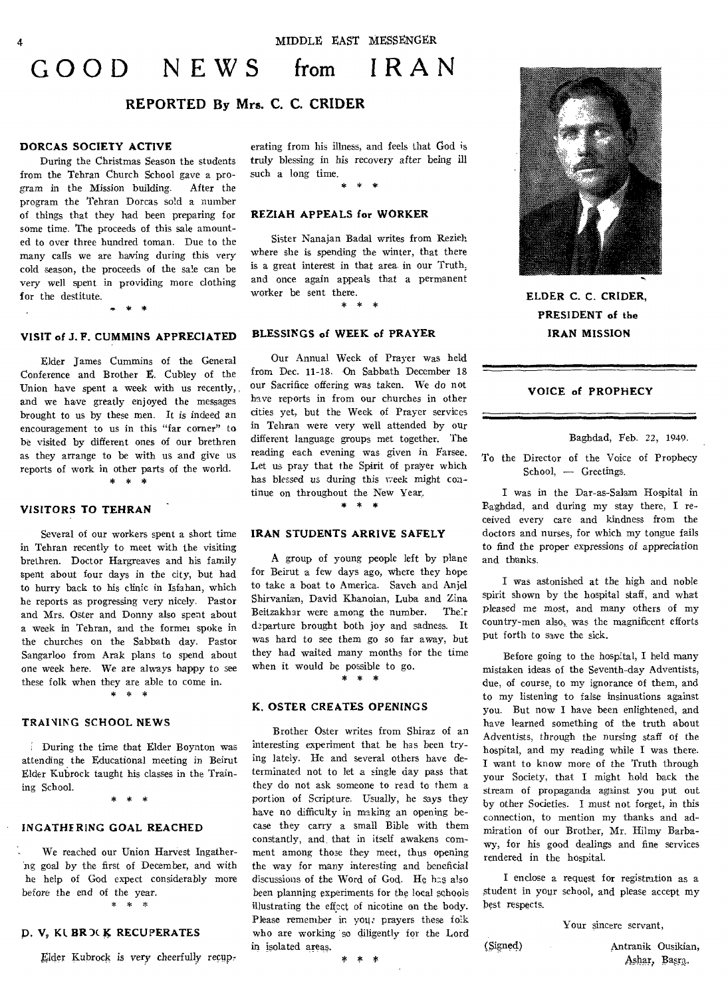# **GOOD NEWS from IRAN**

#### **REPORTED By Mrs. C. C. CRIDER**

#### DORCAS SOCIETY ACTIVE

During the Christmas Season the students from the Tehran Church School gave a program in the Mission building. After the program the Tehran Dorcas sold a number of things that they had been preparing for some time. The proceeds of this sale amounted to over three hundred toman. Due to the many calls we are having during this very cold season, the proceeds of the sale can be very well spent in providing more clothing for the destitute.

#### **VISIT of J. F. CUMMINS APPRECIATED**

Elder James Cummins of the General Conference and Brother E. Cubley of the Union have spent a week with us recently, , and we have greatly enjoyed the messages brought to us by these men. It is indeed an encouragement to us in this "far corner" to be visited by different ones of our brethren as they arrange to be with us and give us reports of work in other parts of the world. \* \* \*

#### **VISITORS TO TEHRAN**

Several of our workers spent a short time in Tehran recently to meet with the visiting brethren. Doctor Hargreaves and his family spent about four days in the city, but had to hurry back to his clinic in Isfahan, which he reports as progressing very nicely. Pastor and Mrs. Oster and Donny also spent about a week in Tehran, and the former spoke in the churches on the Sabbath day. Pastor Sangarloo from Arak plans to spend about one week here. We are always happy to see these folk when they are able to come in.

#### \* \* \*

#### **TRAINING SCHOOL NEWS**

During the time that Elder Boynton was attending the Educational meeting in Beirut Elder Kubrock taught his classes in the Training School.

#### \* \*  $\rightarrow$

#### **INGATHERING GOAL REACHED**

We reached our Union Harvest Ingatherng goal by the first of December, and with he help of God expect considerably more before the end of the year. \* \* \*

#### D. **V, KI BR** 3( ic **RECUPERATES**

Elder Kubrock is very cheerfully recup-

crating from his illness, and feels that God is truly blessing in his recovery after being ill such a long time. \* \* \*

#### **REZIAH APPEALS for WORKER**

Sister Nanajan Badal writes from Rezieh where she is spending the winter, that there is a great interest in that area in our Truth, and once again appeals that a permanent worker be sent there.

## ucse.<br><mark>\* \* \*</mark>

#### **BLESSINGS of WEEK of PRAYER**

Our Annual Week of Prayer was held from Dec. 11-18. On Sabbath December 18 our Sacrifice offering was taken. We do not have reports in from our churches in other cities yet, but the Week of Prayer services in Tehran were very well attended by our different language groups met together. The reading each evening was given in Farsee. Let us pray that the Spirit of prayer which has blessed us during this week might continue on throughout the New Year,.

#### \* \* \*

#### **IRAN STUDENTS ARRIVE SAFELY**

A group of young people left by plane for Beirut a few days ago, where they hope to take a boat to America. Saveh and Anjel Shirvanian, David Khanoian, Luba and Zina Beitzakhar were among the number. Their departure brought both joy and sadness. It was hard to see them go so far away, but they had waited many months for the time when it would be possible to go.

\* \* \*

#### **K. OSTER CREATES OPENINGS**

Brother Oster writes from Shiraz of an interesting experiment that he has been trying lately. He and several others have determinated not to let a single day pass that they do not ask someone to read to them a portion of Scripture. Usually, he says they have no difficulty in making an opening becase they carry a small Bible with them constantly, and that in itself awakens comment among those they meet, thus opening the way for many interesting and beneficial discussions of the Word of God. He has also been planning experiments for the local schools illustrating the effect of nicotine on the body. Please remember in you: prayers these folk who are working so diligently for the Lord in isolated areas.





**ELDER C. C. CRIDER, PRESIDENT of the IRAN MISSION** 

#### **VOICE of PROPHECY**

Baghdad, Feb. 22, 1949.

To the Director of the Voice of Prophecy School, — Greetings.

I was in the Dar-as-Salem Hospital in Baghdad, and during my stay there, I received every care and kindness from the doctors and nurses, for which my tongue fails to fmd the proper expressions of appreciation and thanks.

I was astonished at the high and noble spirit shown by the hospital staff, and what pleased me most, and many others of my country-men also, was the magnificent efforts put forth to save the sick.

Before going to the hospital, I held many mistaken ideas of the Seventh-day Adventists, due, of course, to my ignorance of them, and to my listening to false insinuations against you. But now I have been enlightened, and have learned something of the truth about Adventists, through the nursing staff of the hospital, and my reading while I was there. I want to know more of the Truth through your Society, that I might hold back the stream of propaganda against you put out by other Societies. I must not forget, in this connection, to mention my thanks and admiration of our Brother, Mr. Hilmy Barbawy, for his good dealings and fine services rendered in the hospital.

I enclose a request for registration as a student in your school, and please accept my best respects.

Your sincere servant,

Signed) Antranik Ousikian, Ashar, Basra.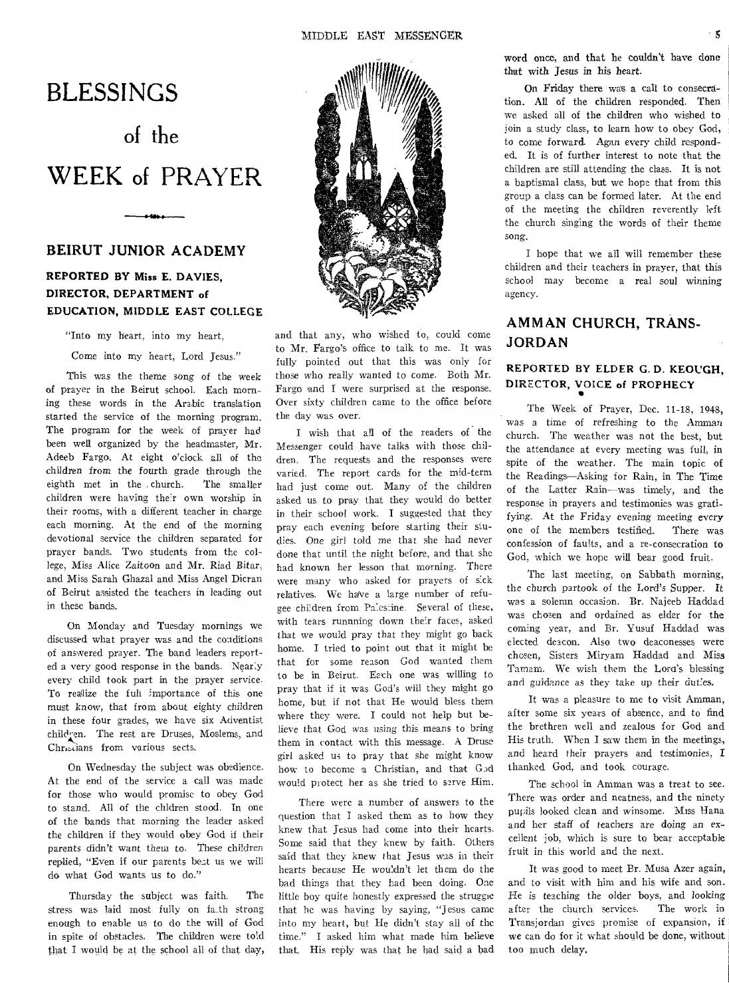# BLESSINGS

# of the WEEK of PRAYER

### BEIRUT JUNIOR ACADEMY

#### REPORTED BY Miss E. DAVIES, DIRECTOR, DEPARTMENT of EDUCATION, MIDDLE EAST COLLEGE

"Into my heart, into my heart,

Come into my heart, Lord Jesus."

This was the theme song of the week of prayer in the Beirut school. Each morning these words in the Arabic translation started the service of the morning program. The program for the week of prayer had been well organized by the headmaster, Mr. Adeeb Fargo. At eight o'clock all of the children from the fourth grade through the eighth met in the church. The smaller children were having their own worship in their rooms, with a different teacher in charge each morning. At the end of the morning devotional service the children separated for prayer bands. Two students from the college, Miss Alice Zaitoon and Mr. Riad Bitar, and Miss Sarah Ghazal and Miss Angel Dicran of Beirut assisted the teachers in leading out in these bands.

On Monday and Tuesday mornings we discussed what prayer was and the conditions of answered prayer. The band leaders reported a very good response in the bands. Nearly every child took part in the prayer service. To realize the full importance of this one must know, that from about eighty children in these four grades, we have six Adventist children. The rest are Druses, Moslems, and Christians from various sects.

On Wednesday the subject was obedience. At the end of the service a call was made for those who would promise to obey God to stand. All of the chldren stood. In one of the bands that morning the leader asked the children if they would obey God if their parents didn't want them to. These children replied, "Even if our parents beat us we will do what God wants us to do."

Thursday the subject was faith. The stress was laid most fully on faith strong enough to enable us to do the will of God in spite of obstacles. The children were told that I would be at the school all of that day,



to Mr. Fargo's office to talk to me. It was fully pointed out that this was only for those who really wanted to come. Both Mr. Fargo and I were surprised at the response. Over sixty children came to the office before the day was over.

wish that all of the readers of the Messenger could have talks with those children. The requests and the responses were varied. The report cards for the mid-term had just come out. Many of the children asked us to pray that they would do better in their school work. I suggested that they pray each evening before starting their studies. One girl told me that she had never done that until the night before, and that she had known her lesson that morning. There were many who asked for prayers of sick relatives. We have a large number of refugee children from Palestine. Several of these, with tears runnning down their faces, asked that we would pray that they might go back home. I tried to point out that it might be that for some reason God wanted them to be in Beirut. Each one was willing to pray that if it was God's will they might go home, but if not that He would bless them where they were. I could not help but believe that God was using this means to bring them in contact with this message. A Druse girl asked us to pray that she might know how to become a Christian, and that God would protect her as she tried to serve Him.

There were a number of answers to the question that I asked them as to how they knew that Jesus had come into their hearts. Some said that they knew by faith. Others said that they knew that Jesus was in their hearts because He wouldn't let them do the bad things that they had been doing. One little boy quite honestly expressed the struggle that he was having by saying, "Jesus came into my heart, but He didn't stay all of the time." I asked him what made him believe that. His reply was that he bad said a bad word once, and that be couldn't have done that with Jesus in his heart.

On Friday there was a call to consecration. All of the children responded. Then we asked all of the children who wished to join a study class, to learn how to obey God, to come forward. Agan every child responded. It is of further interest to note that the children are still attending the class. It is not a baptismal class, but we hope that from this group a class can be formed later. At the end of the meeting the children reverently left the church singing the words of their theme song.

I hope that we all will remember these children and their teachers in prayer, that this school may become a real soul winning agency.

### AMMAN CHURCH, TRANS-JORDAN

## **REPORTED BY ELDER G. D. KEOUGH, DIRECTOR, VOICE of PROPHECY**  •

The Week of Prayer, Dec. 11-18, 1948, was a time of refreshing to the Amman church. The weather was not the best, but the attendance at every meeting was full, in spite of the weather. The main topic of the Readings—Asking for Rain, in The Time of the Latter Rain—was timely, and the response in prayers and testimonies was gratifying. At the Friday evening meeting every one of the members testified. There was confession of faults, and a re-consecration to God, which we hope will bear good fruit.

The last meeting, on Sabbath morning, the church partook of the Lord's Supper. It was a solemn occasion. Br. Najeeb Haddad was chosen and ordained as elder for the coming year, and Br. Yusuf Haddad was elected deacon. Also two deaconesses were chosen, Sisters Miry-am Haddad and Miss Tamam. We wish them the Lord's blessing and guidance as they take up their duties.

It was a pleasure to me to visit Amman, after some six years of absence, and to find the brethren well and zealous for God and His truth. When I saw them in the meetings, and heard their prayers and testimonies, I thanked God, and took courage.

The school in Amman was a treat to see. There was order and neatness, and the ninety pupils looked clean and winsome. Miss Hana and her staff of teachers are doing an excellent job, which is sure to bear acceptable fruit in this world and the next.

It was good to meet Br. Musa Azer again, and to visit with him and his wife and son. He is teaching the older boys, and looking after the church services. The work in Transjordan gives promise of expansion, if we can do for it what should be done, without too much delay.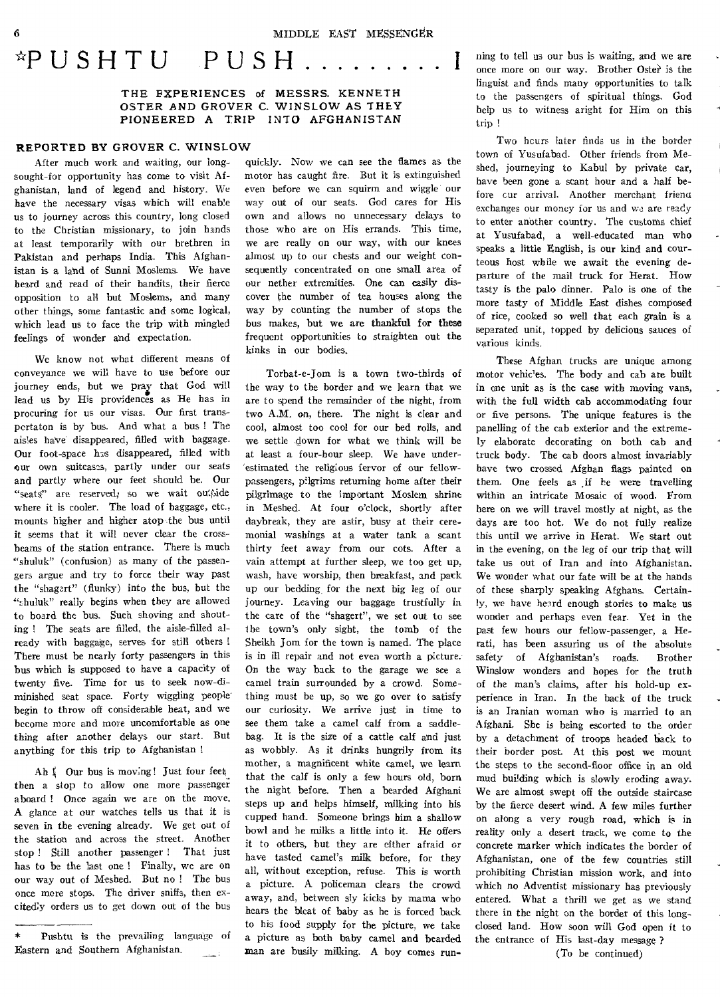# \*PUSHTU PUSH

**THE EXPERIENCES of MESSRS. KENNETH OSTER AND GROVER C. WINSLOW AS THEY PIONEERED A TRIP INTO AFGHANISTAN** 

#### **REPORTED BY GROVER C. WINSLOW**

After much work and waiting, our longsought-for opportunity has come to visit Afghanistan, land of legend and history. We have the necessary visas which will enable us to journey across this country, long closed to the Christian missionary, to join hands at least temporarily with our brethren in Pakistan and perhaps India. This Afghanistan is a land of Sunni Moslems. We have heard and read of their bandits, their fierce opposition to all but Moslems, and many other things, some fantastic and some logical, which lead us to face the trip with mingled feelings of wonder and expectation.

We know not what different means of conveyance we will have to use before our journey ends, but we pray that God will lead us by His providences as He has in procuring for us our visas. Our first transpertaton is by bus. And what a bus ! The aisles have disappeared, filled with baggage. Our foot-space has disappeared, filled with our own suitcases, partly under our seats and partly where our feet should be. Our "seats" are reserved; so we wait ou'side where it is cooler. The load of baggage, etc., mounts higher and higher atop the bus until it seems that it will never clear the crossbeams of the station entrance. There is much "shuluk" (confusion) as many of the passengers argue and try to force their way past the "shagert" (flunky) into the bus, but the "shuluk" really begins when they are allowed to board the bus. Such shoving and shouting ! The seats are filled, the aisle-filled already with baggage, serves for still others ! There must be nearly forty passengers in this bus which is supposed to have a capacity of twenty five. Time for us to seek now-diminished seat space. Forty wiggling people begin to throw off considerable heat, and we become more and more uncomfortable as one thing after another delays our start. But anything for this trip to Afghanistan I

Ah  $\frac{1}{2}$  Our bus is moving! Just four feet. then a stop to allow one more passenger aboard ! Once again we are on the move. A glance at our watches tells us that it is seven in the evening already. We get out of the station and across the street. Another stop ! Still another passenger ! That just has to be the last one ! Finally, we are on our way out of Meshed. But no ! The bus once more stops. The driver sniffs, then excitedly orders us to get down out of the bus

quickly. Now we can see the flames as the motor has caught fire. But it is extinguished even before we can squirm and wiggle our way out of our seats. God cares for His own and allows no unnecessary delays to those who are on His errands. This time, we are really on our way, with our knees almost up to our chests and our weight consequently concentrated on one small area of our nether extremities. One can easily discover the number of tea houses along the way by counting the number of stops the **bus makes, but we are thankful for these**  frequent opportunities to straighten out the kinks in our bodies.

Torbat-e-Jom **is** a town two-thirds of the way to the border and we learn that we are to spend the remainder of the night, from two A.M. on, there. The night is clear and cool, almost too cool for our bed rolls, and we settle down for what we think will be at least a four-hour sleep. We have underestimated the religious fervor of our fellowpassengers, pilgrims returning home after their pilgrimage to the important Moslem shrine in Meshed. At four o'clock, shortly after daybreak, they are astir, busy at their ceremonial washings at a water tank a scant thirty feet away from our cots. After a vain attempt at further sleep, we too get up, wash, have worship, then breakfast, and pack up our bedding, for the next big leg of our journey. Leaving our baggage trustfully in the care of the "shagert", we set out to see the town's only sight, the tomb of the Sheikh Jom for the town is named. The place is in ill repair and not even worth a picture. On the way back to the garage we see a camel train surrounded by a crowd. Something must be up, so we go over to satisfy our curiosity. **We** arrive just in time to see them take a camel calf from a saddlebag. It is the size of a cattle calf and just as wobbly. As it drinks hungrily from its mother, a magnificent white camel, we learn that the calf is only a few hours old, born the night before. Then a bearded Afghani steps up and helps himself, milking into his cupped hand. Someone brings him a shallow bowl and he milks a little into it. He offers it to others, but they are either afraid or have tasted camel's milk before, for they all, without exception, refuse. This is worth a picture. A policeman clears the crowd away, and, between sly kicks by mama who hears the bleat of baby as he is forced back to his food supply for the picture, we take a picture as both baby camel and bearded man are busily milking. A boy comes **run-** ning to tell us our bus is waiting, and we are once more on our way. Brother Oster is the linguist and finds many opportunities to talk to the passengers of spiritual things. God help us to witness aright for Him on this trip !

Two hcurs later finds us in the border town of Yusufabad. Other friends from Meshed, journeying to Kabul by **private** car, have been gone a scant hour and a half before cur arrival. Another merchant friena exchanges our money for us and we are ready to enter another country. The customs chief at Yusufabad, a well-educated man who speaks a little English, is **our** kind and courteous host while we await the evening departure of the mail truck for Herat. How tasty is the palo dinner. Palo is one of the more tasty of Middle East dishes composed of rice, cooked so well that each grain is a separated unit, topped by delicious sauces of various kinds.

These Afghan trucks are unique among motor vehicles. The body and cab are built in one unit as is the case with moving vans, with the full width cab accommodating four or five persons. The unique features is the panelling of the cab exterior and the extremely elaborate decorating on both cab and truck body. The cab doors almost invariably have two crossed Afghan flags painted on them. One feels as .if he were travelling within an intricate Mosaic of wood. From here on we will travel mostly at night, as the days are too hot. We do not fully realize this until we arrive in Herat. We start out in the evening, on the leg of our trip that will take us out of Iran and into Afghanistan. We wonder what our fate will be at the hands of these sharply speaking Afghans. Certainly, we have heard enough stories to make us wonder and perhaps even fear. Yet in the past few hours our fellow-passenger, a Herati, has been assuring us of the absolute safety of Afghanistan's roads. Brother Winslow wonders and hopes for the truth of the man's claims, after his hold-up experience in Iran. In the back of the truck is an Iranian woman who is married to an Afghani. She is being escorted to the order by a detachment of troops headed back to their border post. At this post we mount the steps to the second-floor office in an old mud building which is slowly eroding away. We are almost swept off the outside staircase by the fierce desert wind. A few miles further on along a very rough road, which is in reality only a desert track, we come to the concrete marker which indicates the border of Afghanistan, one of the few countries still prohibiting Christian mission work, and into which no Adventist missionary has previously entered. What a thrill we get as we stand there in the night on the border of this longclosed land. How soon will God open it to the entrance of His last-day message ?

(To be continued)

Pushtu is the prevailing language of Eastern and Southern Afghanistan.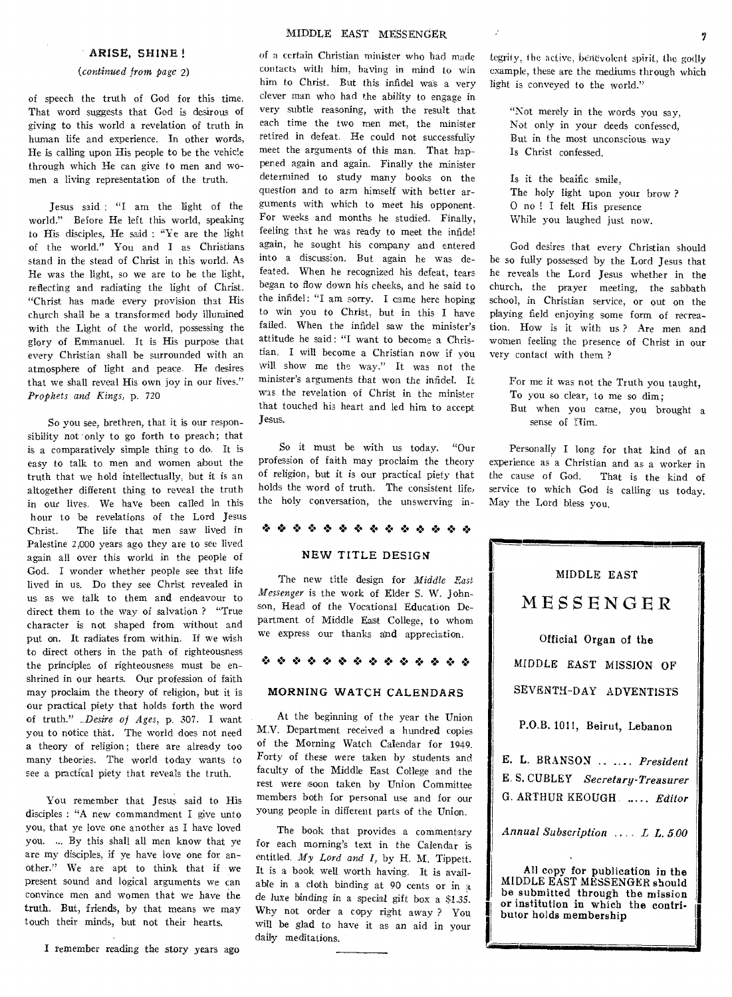#### ARISE, SHINE !

#### *(continued from page 2)*

of speech the truth of God for this time. That word suggests that God is desirous of giving to this world a revelation of truth in human life and experience. In other words, He is calling upon His people to be the vehicle through which He can give to men and women a living representation of the truth.

Jesus said : "I am the light of the world." Before He left this world, speaking to His disciples, He said : "Ye are the light of the world." You and I as Christians stand in the stead of Christ in this world. As He was the light, so we are to be the light, reflecting and radiating the light of Christ. "Christ has made every provision that His church shall be a transformed body illumined with the Light of the world, possessing the glory of Emmanuel. It is His purpose that every Christian shall be surrounded with an atmosphere of light and peace. He desires that we shall reveal His own joy in our lives." *Prophets and Kings,* p. 720

So you see, brethren, that it is our responsibility not only to go forth to preach; that is a comparatively simple thing to do. It is easy to talk to men and women about the truth that we hold intellectually, but it is an altogether different thing to reveal the truth in our lives. We have been called in this hour to be revelations of the Lord Jesus Christ. The life that men saw lived in Palestine 2,000 years ago they are to see lived again all over this world in the people of God. I wonder whether people see that life lived in us. Do they see Christ revealed in us as we talk to them and endeavour to direct them to the way of salvation ? "True character is not shaped from without and put on. It radiates from within. If we wish to direct others in the path of righteousness the principles of righteousness must be enshrined in our hearts. Our profession of faith may proclaim the theory of religion, but it is our practical piety that holds forth the word of truth." *\_\_Desire of Ages,* p. 307. I want you to notice that. The world does not need a theory of religion; there are already too many theories. The world today wants to see a practical piety that reveals the truth.

You remember that Jesus said to His disciples : "A new commandment I give unto you, that ye love one another as I have loved you. ... By this shall all men know that ye are my disciples, if ye have love one for another." We are apt to think that if we present sound and logical arguments we can convince men and women that we have the truth. But, friends, by that means we may touch their minds, but not their hearts.

I remember reading the story years ago

of a certain Christian minister who had made contacts with him, having in mind to win him to Christ. But this infidel was a very clever man who had the ability to engage in very subtle reasoning, with the result that each time the two men met, the minister retired in defeat. He could not successfully meet the arguments of this man. That happened again and again. Finally the minister determined to study many books on the question and to arm himself with better arguments with which to meet his opponent. For weeks and months he studied. Finally, feeling that he was ready to meet the infidel again, he sought his company and entered into a discussion. But again he was defeated. When he recognized his defeat, tears began to flow down his cheeks, and he said to the infidel: "I am sorry. I came here hoping to win you to Christ, but in this I have failed. When the infidel saw the minister's attitude he said: "I want to become a Christian. I will become a Christian now if you will show me the way." It was not the minister's arguments that won the infidel. It was the revelation of Christ in the minister that touched his heart and led him to accept Jesus.

So it must be with us today. "Our profession of faith may proclaim the theory of religion, but it is our practical piety that holds the word of truth. The consistent life, the holy conversation, the unswerving in-

#### 0 00

#### NEW TITLE DESIGN

The new title design for *Middle East Messenger* is the work of Elder S. W. Johnson, Head of the Vocational Education Department of Middle East College, to whom we express our thanks and appreciation.

#### 0 4\* 0 0 0 Itl'• 0 0 0 00 0 0

#### MORNING WATCH CALENDARS

At the beginning of the year the Union M.V. Department received a hundred copies of the Morning Watch Calendar for 1949. Forty of these were taken by students and faculty of the Middle East College and the rest were soon taken by Union Committee members both for personal use and for our young people in different parts of the Union.

The book that provides a commentary for each morning's text in the Calendar is entitled. *My Lord and I,* by H. M. Tippett. It is a book well worth having. It is available in a cloth binding at 90 cents or in a *de* luxe binding in a special gift box a \$1.35. Why not order a copy right away ? You will be glad to have it as an aid in your daily meditations.

I

Legrity, the active, benevolent spirit, the godly example, these are the mediums through which light is conveyed to the world."

"Not merely in the words you say, Not only in your deeds confessed, But in the most unconscious way Is Christ confessed.

Is it the bealfic smile, The holy light upon your brow ? 0 no ! I felt His presence While you laughed just now.

God desires that every Christian should be so fully possessed by the Lord Jesus that he reveals the Lord Jesus whether in the church, the prayer meeting, the sabbath school, in Christian service, or out on the playing field enjoying some form of recreation. How is it with us ? Are men and women feeling the presence of Christ in our very contact with them ?

- For me it was not the Truth you taught, To you so clear, to me so dim; But when you came, you brought a
- sense of Tlim.

Personally I long for that kind of an experience as a Christian and as a worker in the cause of God. That is the kind of service to which God is calling us today. May the Lord bless you.

| MIDDLE EAST                                                                                                                                                          |
|----------------------------------------------------------------------------------------------------------------------------------------------------------------------|
| MESSENGER                                                                                                                                                            |
| Official Organ of the                                                                                                                                                |
| MIDDLE EAST MISSION OF                                                                                                                                               |
| SEVENTH-DAY ADVENTISTS                                                                                                                                               |
| P.O.B. 1011, Beirut, Lebanon                                                                                                                                         |
| E. L. BRANSON   President                                                                                                                                            |
| E. S. CUBLEY Secretary-Treasurer                                                                                                                                     |
| G. ARTHUR KEOUGH.  Editor                                                                                                                                            |
| Annual Subscription  L L. 5.00                                                                                                                                       |
| All copy for publication in the<br>MIDDLE EAST MESSENGER should<br>be submitted through the mission<br>or institution in which the contri-<br>butor holds membership |